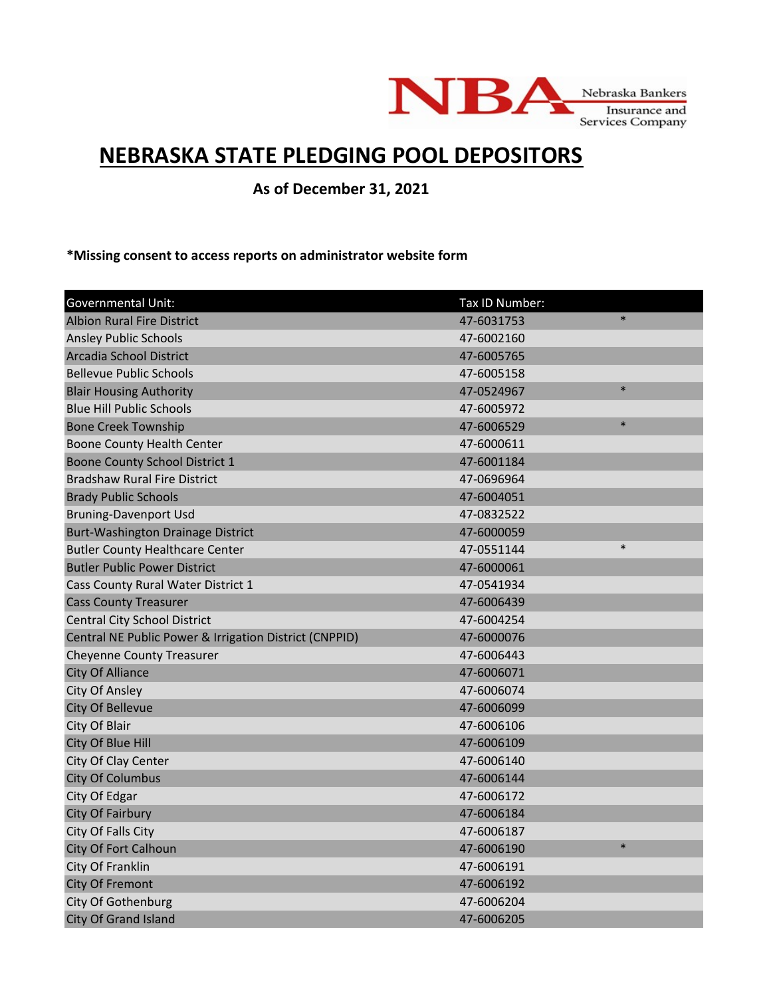

## **NEBRASKA STATE PLEDGING POOL DEPOSITORS**

**As of December 31, 2021**

**\*Missing consent to access reports on administrator website form**

| <b>Governmental Unit:</b>                              | Tax ID Number:       |
|--------------------------------------------------------|----------------------|
| <b>Albion Rural Fire District</b>                      | $\ast$<br>47-6031753 |
| <b>Ansley Public Schools</b>                           | 47-6002160           |
| Arcadia School District                                | 47-6005765           |
| <b>Bellevue Public Schools</b>                         | 47-6005158           |
| <b>Blair Housing Authority</b>                         | $\ast$<br>47-0524967 |
| <b>Blue Hill Public Schools</b>                        | 47-6005972           |
| <b>Bone Creek Township</b>                             | $\ast$<br>47-6006529 |
| Boone County Health Center                             | 47-6000611           |
| Boone County School District 1                         | 47-6001184           |
| <b>Bradshaw Rural Fire District</b>                    | 47-0696964           |
| <b>Brady Public Schools</b>                            | 47-6004051           |
| <b>Bruning-Davenport Usd</b>                           | 47-0832522           |
| Burt-Washington Drainage District                      | 47-6000059           |
| <b>Butler County Healthcare Center</b>                 | $\ast$<br>47-0551144 |
| <b>Butler Public Power District</b>                    | 47-6000061           |
| Cass County Rural Water District 1                     | 47-0541934           |
| <b>Cass County Treasurer</b>                           | 47-6006439           |
| <b>Central City School District</b>                    | 47-6004254           |
| Central NE Public Power & Irrigation District (CNPPID) | 47-6000076           |
| <b>Cheyenne County Treasurer</b>                       | 47-6006443           |
| <b>City Of Alliance</b>                                | 47-6006071           |
| City Of Ansley                                         | 47-6006074           |
| City Of Bellevue                                       | 47-6006099           |
| City Of Blair                                          | 47-6006106           |
| <b>City Of Blue Hill</b>                               | 47-6006109           |
| City Of Clay Center                                    | 47-6006140           |
| <b>City Of Columbus</b>                                | 47-6006144           |
| City Of Edgar                                          | 47-6006172           |
| City Of Fairbury                                       | 47-6006184           |
| City Of Falls City                                     | 47-6006187           |
| City Of Fort Calhoun                                   | $\ast$<br>47-6006190 |
| City Of Franklin                                       | 47-6006191           |
| City Of Fremont                                        | 47-6006192           |
| <b>City Of Gothenburg</b>                              | 47-6006204           |
| <b>City Of Grand Island</b>                            | 47-6006205           |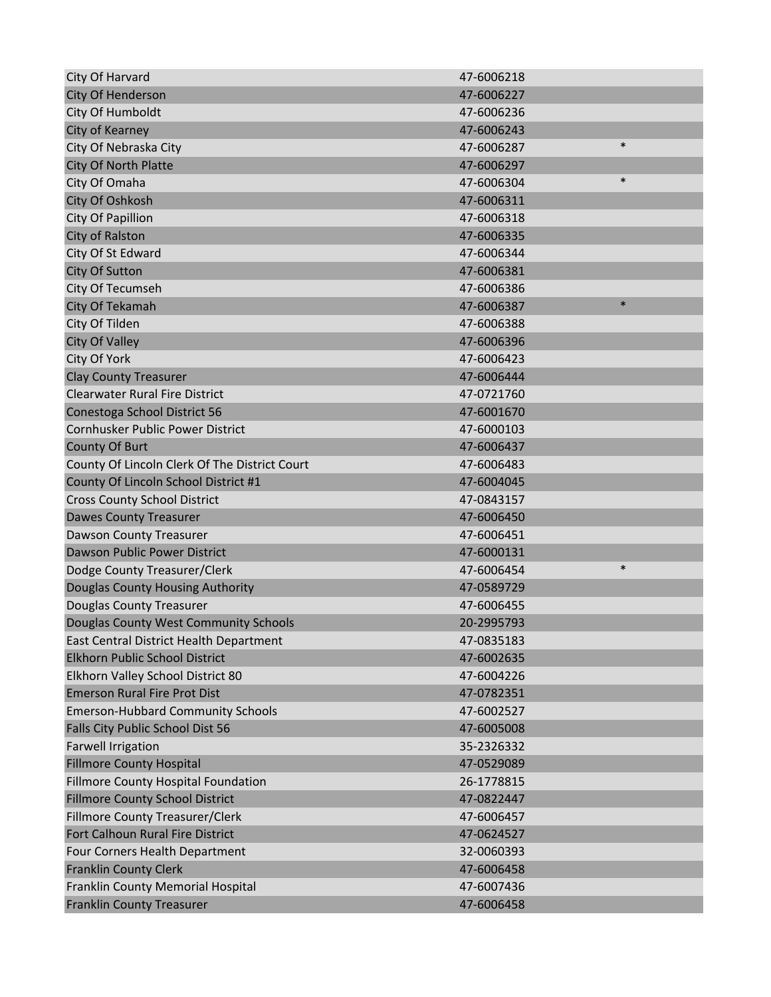| City Of Harvard                               | 47-6006218           |
|-----------------------------------------------|----------------------|
| City Of Henderson                             | 47-6006227           |
| City Of Humboldt                              | 47-6006236           |
| City of Kearney                               | 47-6006243           |
| City Of Nebraska City                         | $\ast$<br>47-6006287 |
| City Of North Platte                          | 47-6006297           |
| City Of Omaha                                 | $\ast$<br>47-6006304 |
| City Of Oshkosh                               | 47-6006311           |
| City Of Papillion                             | 47-6006318           |
| City of Ralston                               | 47-6006335           |
| City Of St Edward                             | 47-6006344           |
| City Of Sutton                                | 47-6006381           |
| City Of Tecumseh                              | 47-6006386           |
| City Of Tekamah                               | $\ast$<br>47-6006387 |
| City Of Tilden                                | 47-6006388           |
| <b>City Of Valley</b>                         | 47-6006396           |
| City Of York                                  | 47-6006423           |
| <b>Clay County Treasurer</b>                  | 47-6006444           |
| <b>Clearwater Rural Fire District</b>         | 47-0721760           |
| Conestoga School District 56                  | 47-6001670           |
| Cornhusker Public Power District              | 47-6000103           |
| County Of Burt                                | 47-6006437           |
| County Of Lincoln Clerk Of The District Court | 47-6006483           |
| County Of Lincoln School District #1          | 47-6004045           |
| <b>Cross County School District</b>           | 47-0843157           |
| <b>Dawes County Treasurer</b>                 | 47-6006450           |
| Dawson County Treasurer                       | 47-6006451           |
| Dawson Public Power District                  | 47-6000131           |
| Dodge County Treasurer/Clerk                  | $\ast$<br>47-6006454 |
| Douglas County Housing Authority              | 47-0589729           |
| <b>Douglas County Treasurer</b>               | 47-6006455           |
| Douglas County West Community Schools         | 20-2995793           |
| East Central District Health Department       | 47-0835183           |
| Elkhorn Public School District                | 47-6002635           |
| Elkhorn Valley School District 80             | 47-6004226           |
| <b>Emerson Rural Fire Prot Dist</b>           | 47-0782351           |
| <b>Emerson-Hubbard Community Schools</b>      | 47-6002527           |
| Falls City Public School Dist 56              | 47-6005008           |
| <b>Farwell Irrigation</b>                     | 35-2326332           |
| <b>Fillmore County Hospital</b>               | 47-0529089           |
| Fillmore County Hospital Foundation           | 26-1778815           |
| <b>Fillmore County School District</b>        | 47-0822447           |
| Fillmore County Treasurer/Clerk               | 47-6006457           |
| Fort Calhoun Rural Fire District              | 47-0624527           |
| Four Corners Health Department                | 32-0060393           |
| <b>Franklin County Clerk</b>                  | 47-6006458           |
| Franklin County Memorial Hospital             | 47-6007436           |
| <b>Franklin County Treasurer</b>              | 47-6006458           |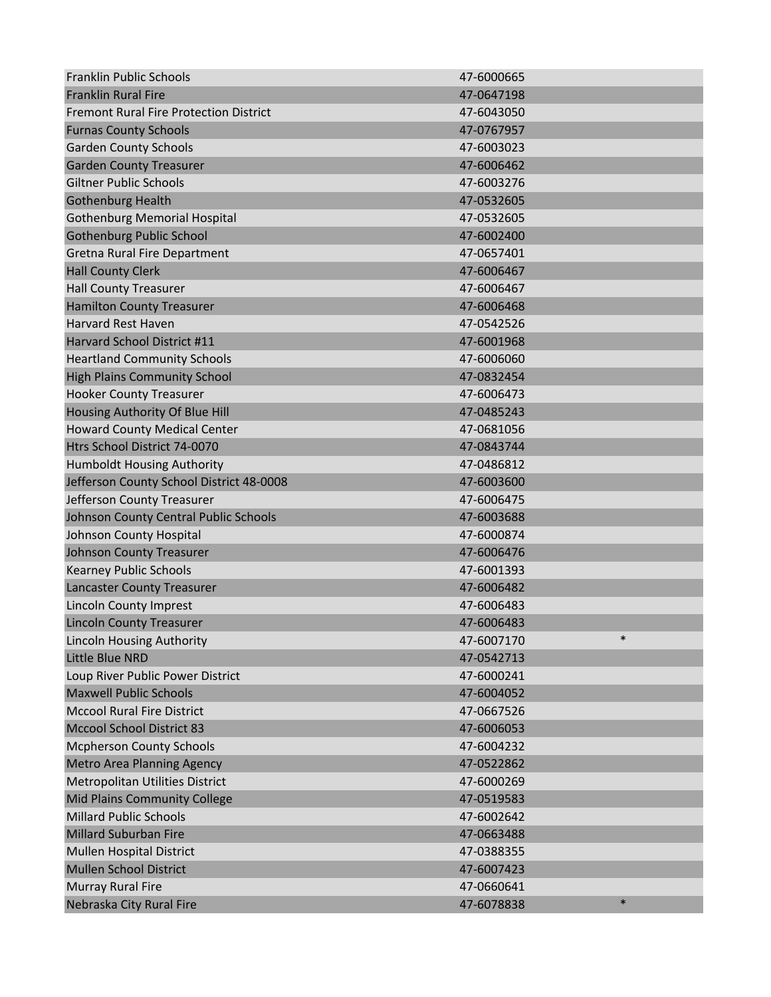| <b>Franklin Public Schools</b>                | 47-6000665           |
|-----------------------------------------------|----------------------|
| <b>Franklin Rural Fire</b>                    | 47-0647198           |
| <b>Fremont Rural Fire Protection District</b> | 47-6043050           |
| <b>Furnas County Schools</b>                  | 47-0767957           |
| <b>Garden County Schools</b>                  | 47-6003023           |
| <b>Garden County Treasurer</b>                | 47-6006462           |
| <b>Giltner Public Schools</b>                 | 47-6003276           |
| <b>Gothenburg Health</b>                      | 47-0532605           |
| <b>Gothenburg Memorial Hospital</b>           | 47-0532605           |
| <b>Gothenburg Public School</b>               | 47-6002400           |
| Gretna Rural Fire Department                  | 47-0657401           |
| <b>Hall County Clerk</b>                      | 47-6006467           |
| <b>Hall County Treasurer</b>                  | 47-6006467           |
| <b>Hamilton County Treasurer</b>              | 47-6006468           |
| <b>Harvard Rest Haven</b>                     | 47-0542526           |
| Harvard School District #11                   | 47-6001968           |
| <b>Heartland Community Schools</b>            | 47-6006060           |
| <b>High Plains Community School</b>           | 47-0832454           |
| <b>Hooker County Treasurer</b>                | 47-6006473           |
| Housing Authority Of Blue Hill                | 47-0485243           |
| <b>Howard County Medical Center</b>           | 47-0681056           |
| Htrs School District 74-0070                  | 47-0843744           |
| <b>Humboldt Housing Authority</b>             | 47-0486812           |
| Jefferson County School District 48-0008      | 47-6003600           |
| Jefferson County Treasurer                    | 47-6006475           |
| Johnson County Central Public Schools         | 47-6003688           |
| Johnson County Hospital                       | 47-6000874           |
| <b>Johnson County Treasurer</b>               | 47-6006476           |
| <b>Kearney Public Schools</b>                 | 47-6001393           |
| <b>Lancaster County Treasurer</b>             | 47-6006482           |
| <b>Lincoln County Imprest</b>                 | 47-6006483           |
| <b>Lincoln County Treasurer</b>               | 47-6006483           |
| <b>Lincoln Housing Authority</b>              | $\ast$<br>47-6007170 |
| Little Blue NRD                               | 47-0542713           |
| Loup River Public Power District              | 47-6000241           |
| <b>Maxwell Public Schools</b>                 | 47-6004052           |
| <b>Mccool Rural Fire District</b>             | 47-0667526           |
| <b>Mccool School District 83</b>              | 47-6006053           |
| <b>Mcpherson County Schools</b>               | 47-6004232           |
| <b>Metro Area Planning Agency</b>             | 47-0522862           |
| Metropolitan Utilities District               | 47-6000269           |
| Mid Plains Community College                  | 47-0519583           |
| <b>Millard Public Schools</b>                 | 47-6002642           |
| Millard Suburban Fire                         | 47-0663488           |
| Mullen Hospital District                      | 47-0388355           |
| <b>Mullen School District</b>                 | 47-6007423           |
| Murray Rural Fire                             | 47-0660641           |
| Nebraska City Rural Fire                      | $\ast$<br>47-6078838 |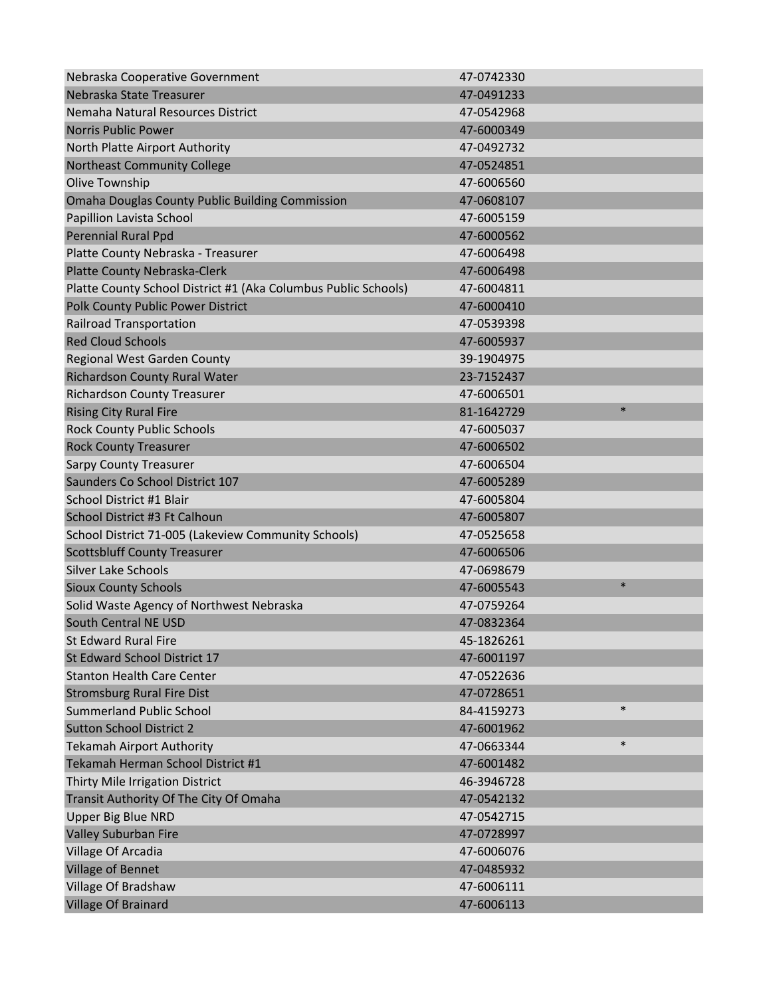| Nebraska Cooperative Government                                | 47-0742330           |
|----------------------------------------------------------------|----------------------|
| Nebraska State Treasurer                                       | 47-0491233           |
| Nemaha Natural Resources District                              | 47-0542968           |
| <b>Norris Public Power</b>                                     | 47-6000349           |
| North Platte Airport Authority                                 | 47-0492732           |
| <b>Northeast Community College</b>                             | 47-0524851           |
| Olive Township                                                 | 47-6006560           |
| <b>Omaha Douglas County Public Building Commission</b>         | 47-0608107           |
| Papillion Lavista School                                       | 47-6005159           |
| Perennial Rural Ppd                                            | 47-6000562           |
| Platte County Nebraska - Treasurer                             | 47-6006498           |
| Platte County Nebraska-Clerk                                   | 47-6006498           |
| Platte County School District #1 (Aka Columbus Public Schools) | 47-6004811           |
| <b>Polk County Public Power District</b>                       | 47-6000410           |
| <b>Railroad Transportation</b>                                 | 47-0539398           |
| <b>Red Cloud Schools</b>                                       | 47-6005937           |
| Regional West Garden County                                    | 39-1904975           |
| Richardson County Rural Water                                  | 23-7152437           |
| <b>Richardson County Treasurer</b>                             | 47-6006501           |
| <b>Rising City Rural Fire</b>                                  | $\ast$<br>81-1642729 |
| <b>Rock County Public Schools</b>                              | 47-6005037           |
| <b>Rock County Treasurer</b>                                   | 47-6006502           |
| <b>Sarpy County Treasurer</b>                                  | 47-6006504           |
| Saunders Co School District 107                                | 47-6005289           |
| School District #1 Blair                                       | 47-6005804           |
| School District #3 Ft Calhoun                                  | 47-6005807           |
| School District 71-005 (Lakeview Community Schools)            | 47-0525658           |
| <b>Scottsbluff County Treasurer</b>                            | 47-6006506           |
| <b>Silver Lake Schools</b>                                     | 47-0698679           |
| <b>Sioux County Schools</b>                                    | $\ast$<br>47-6005543 |
| Solid Waste Agency of Northwest Nebraska                       | 47-0759264           |
| South Central NE USD                                           | 47-0832364           |
| <b>St Edward Rural Fire</b>                                    | 45-1826261           |
| St Edward School District 17                                   | 47-6001197           |
| <b>Stanton Health Care Center</b>                              | 47-0522636           |
| <b>Stromsburg Rural Fire Dist</b>                              | 47-0728651           |
| <b>Summerland Public School</b>                                | $\ast$<br>84-4159273 |
| <b>Sutton School District 2</b>                                | 47-6001962           |
| <b>Tekamah Airport Authority</b>                               | $\ast$<br>47-0663344 |
| Tekamah Herman School District #1                              | 47-6001482           |
| Thirty Mile Irrigation District                                | 46-3946728           |
| Transit Authority Of The City Of Omaha                         | 47-0542132           |
| <b>Upper Big Blue NRD</b>                                      | 47-0542715           |
| Valley Suburban Fire                                           | 47-0728997           |
| Village Of Arcadia                                             | 47-6006076           |
| Village of Bennet                                              | 47-0485932           |
| Village Of Bradshaw                                            | 47-6006111           |
| Village Of Brainard                                            | 47-6006113           |